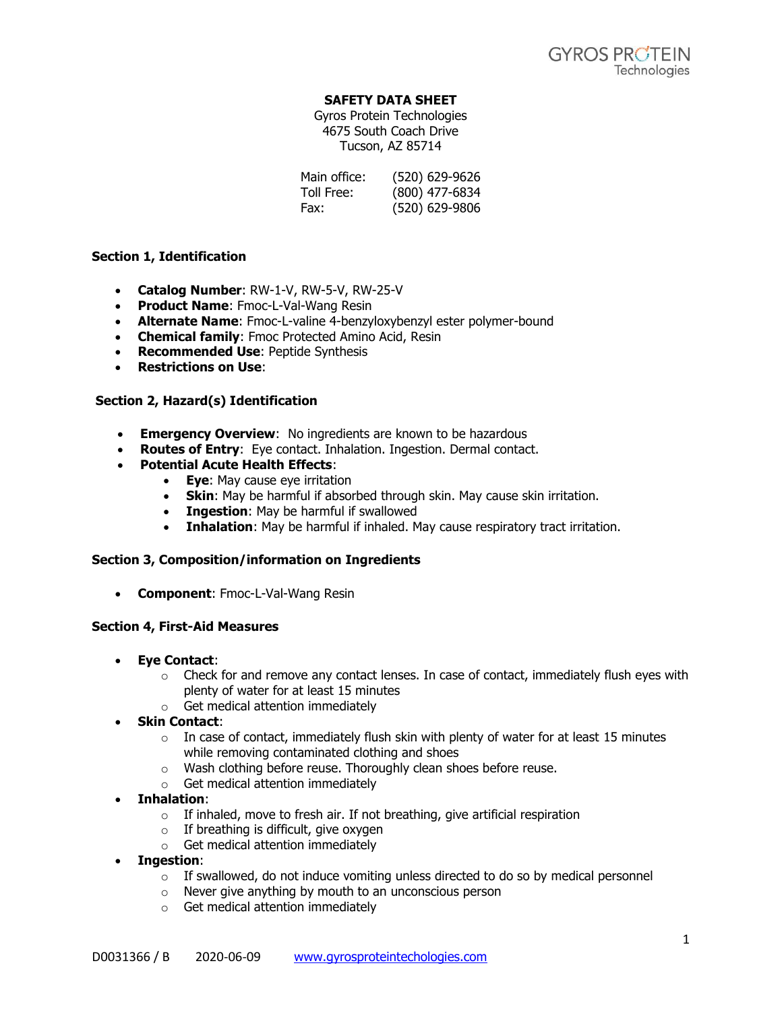### **SAFETY DATA SHEET**

Gyros Protein Technologies 4675 South Coach Drive Tucson, AZ 85714

| Main office: | (520) 629-9626 |
|--------------|----------------|
| Toll Free:   | (800) 477-6834 |
| Fax:         | (520) 629-9806 |

### **Section 1, Identification**

- **Catalog Number**: RW-1-V, RW-5-V, RW-25-V
- **Product Name**: Fmoc-L-Val-Wang Resin
- **Alternate Name**: Fmoc-L-valine 4-benzyloxybenzyl ester polymer-bound
- **Chemical family**: Fmoc Protected Amino Acid, Resin
- **Recommended Use**: Peptide Synthesis
- **Restrictions on Use**:

## **Section 2, Hazard(s) Identification**

- **Emergency Overview**: No ingredients are known to be hazardous
- **Routes of Entry**: Eye contact. Inhalation. Ingestion. Dermal contact.
- **Potential Acute Health Effects**:
	- **Eye**: May cause eye irritation
		- **Skin**: May be harmful if absorbed through skin. May cause skin irritation.
		- **Ingestion**: May be harmful if swallowed
		- **Inhalation**: May be harmful if inhaled. May cause respiratory tract irritation.

### **Section 3, Composition/information on Ingredients**

• **Component**: Fmoc-L-Val-Wang Resin

### **Section 4, First-Aid Measures**

- **Eye Contact**:
	- $\circ$  Check for and remove any contact lenses. In case of contact, immediately flush eyes with plenty of water for at least 15 minutes
	- o Get medical attention immediately
- **Skin Contact**:
	- $\circ$  In case of contact, immediately flush skin with plenty of water for at least 15 minutes while removing contaminated clothing and shoes
	- o Wash clothing before reuse. Thoroughly clean shoes before reuse.
	- o Get medical attention immediately
- **Inhalation**:
	- o If inhaled, move to fresh air. If not breathing, give artificial respiration
	- $\circ$  If breathing is difficult, give oxygen
	- o Get medical attention immediately
- **Ingestion**:
	- $\circ$  If swallowed, do not induce vomiting unless directed to do so by medical personnel
	- o Never give anything by mouth to an unconscious person
	- o Get medical attention immediately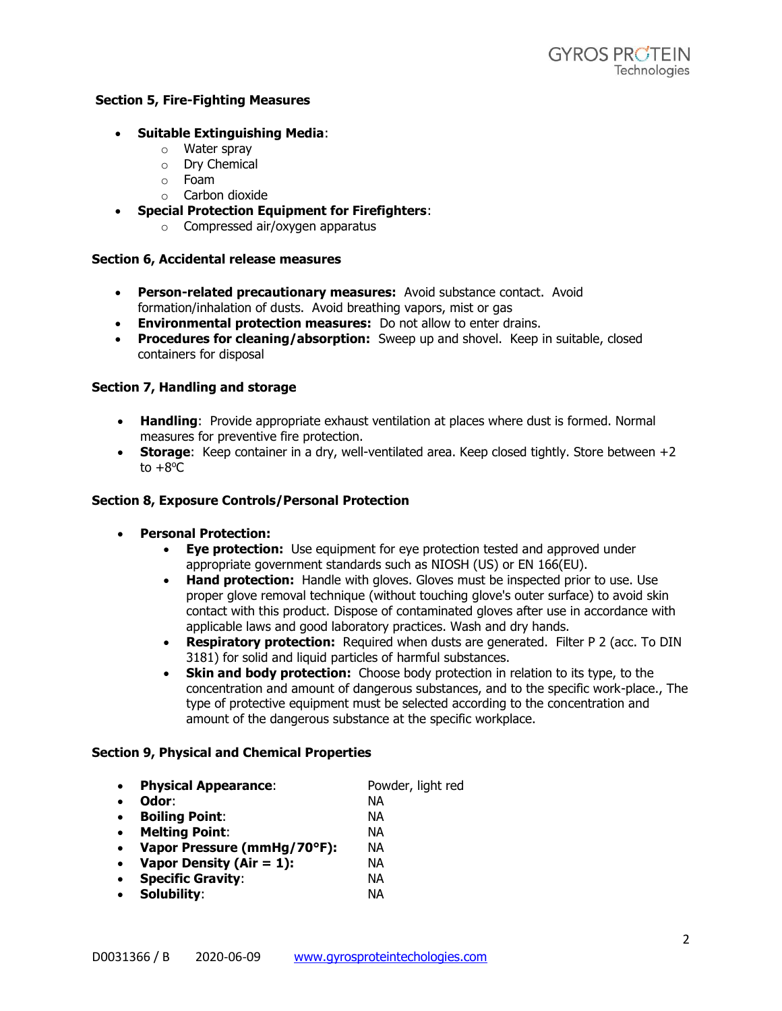### **Section 5, Fire-Fighting Measures**

### • **Suitable Extinguishing Media**:

- o Water spray
- o Dry Chemical
- o Foam
- o Carbon dioxide
- **Special Protection Equipment for Firefighters**:
	- o Compressed air/oxygen apparatus

#### **Section 6, Accidental release measures**

- **Person-related precautionary measures:** Avoid substance contact. Avoid formation/inhalation of dusts. Avoid breathing vapors, mist or gas
- **Environmental protection measures:** Do not allow to enter drains.
- **Procedures for cleaning/absorption:** Sweep up and shovel. Keep in suitable, closed containers for disposal

#### **Section 7, Handling and storage**

- **Handling**: Provide appropriate exhaust ventilation at places where dust is formed. Normal measures for preventive fire protection.
- **Storage:** Keep container in a dry, well-ventilated area. Keep closed tightly. Store between +2 to  $+8^{\circ}$ C

#### **Section 8, Exposure Controls/Personal Protection**

- **Personal Protection:**
	- **Eye protection:** Use equipment for eye protection tested and approved under appropriate government standards such as NIOSH (US) or EN 166(EU).
	- **Hand protection:** Handle with gloves. Gloves must be inspected prior to use. Use proper glove removal technique (without touching glove's outer surface) to avoid skin contact with this product. Dispose of contaminated gloves after use in accordance with applicable laws and good laboratory practices. Wash and dry hands.
	- **Respiratory protection:** Required when dusts are generated. Filter P 2 (acc. To DIN 3181) for solid and liquid particles of harmful substances.
	- **Skin and body protection:** Choose body protection in relation to its type, to the concentration and amount of dangerous substances, and to the specific work-place., The type of protective equipment must be selected according to the concentration and amount of the dangerous substance at the specific workplace.

#### **Section 9, Physical and Chemical Properties**

|  | <b>Physical Appearance:</b> | Powder, light red |
|--|-----------------------------|-------------------|
|--|-----------------------------|-------------------|

- **Odor**: NA
- **Boiling Point**: NA
- **Melting Point**: NA
- **Vapor Pressure (mmHg/70°F):** NA
- **Vapor Density (Air = 1):** NA
- **Specific Gravity**: NA
- **Solubility**: NA